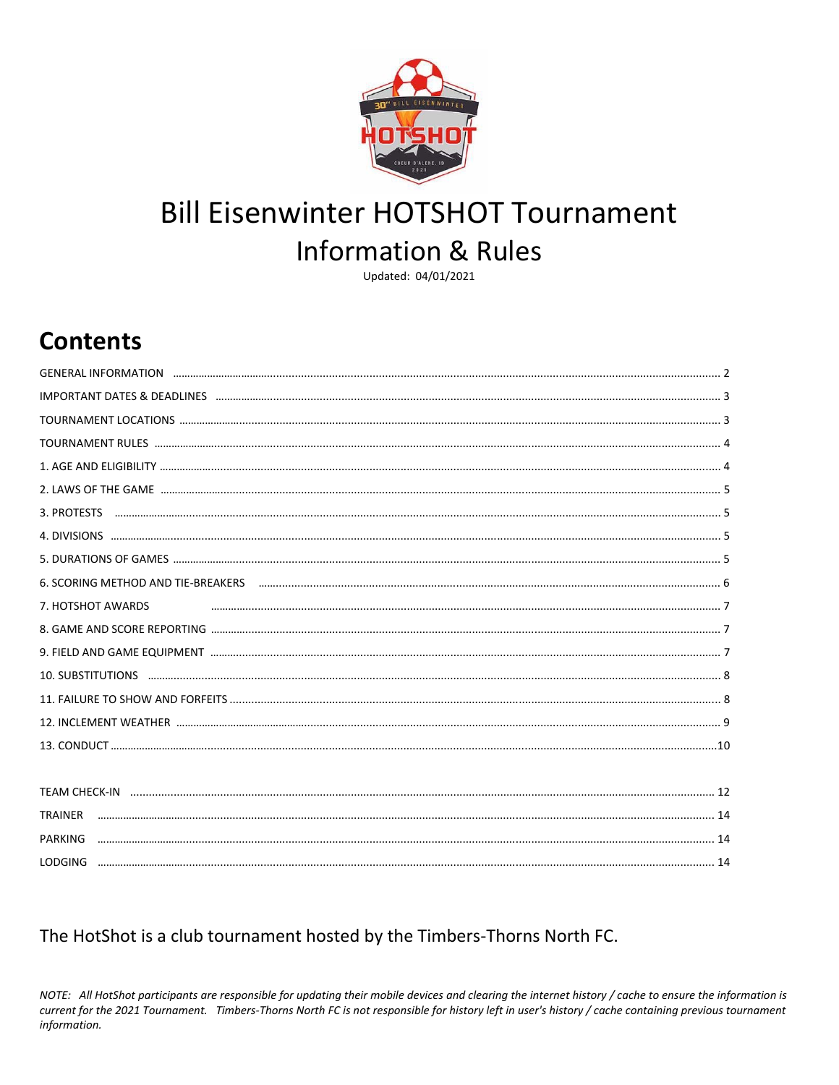

# **Bill Eisenwinter HOTSHOT Tournament Information & Rules**

Updated: 04/01/2021

# **Contents**

| 3. PROTESTS                                                                                                    |
|----------------------------------------------------------------------------------------------------------------|
|                                                                                                                |
|                                                                                                                |
| 6. SCORING METHOD AND TIE-BREAKERS Facebook and the contract of the set of the set of the set of the set of th |
| 7. HOTSHOT AWARDS                                                                                              |
|                                                                                                                |
|                                                                                                                |
|                                                                                                                |
|                                                                                                                |
|                                                                                                                |
|                                                                                                                |
|                                                                                                                |
|                                                                                                                |
| <b>TRAINER</b>                                                                                                 |
| <b>PARKING</b>                                                                                                 |

### The HotShot is a club tournament hosted by the Timbers-Thorns North FC.

NOTE: All HotShot participants are responsible for updating their mobile devices and clearing the internet history / cache to ensure the information is current for the 2021 Tournament. Timbers-Thorns North FC is not responsible for history left in user's history / cache containing previous tournament information.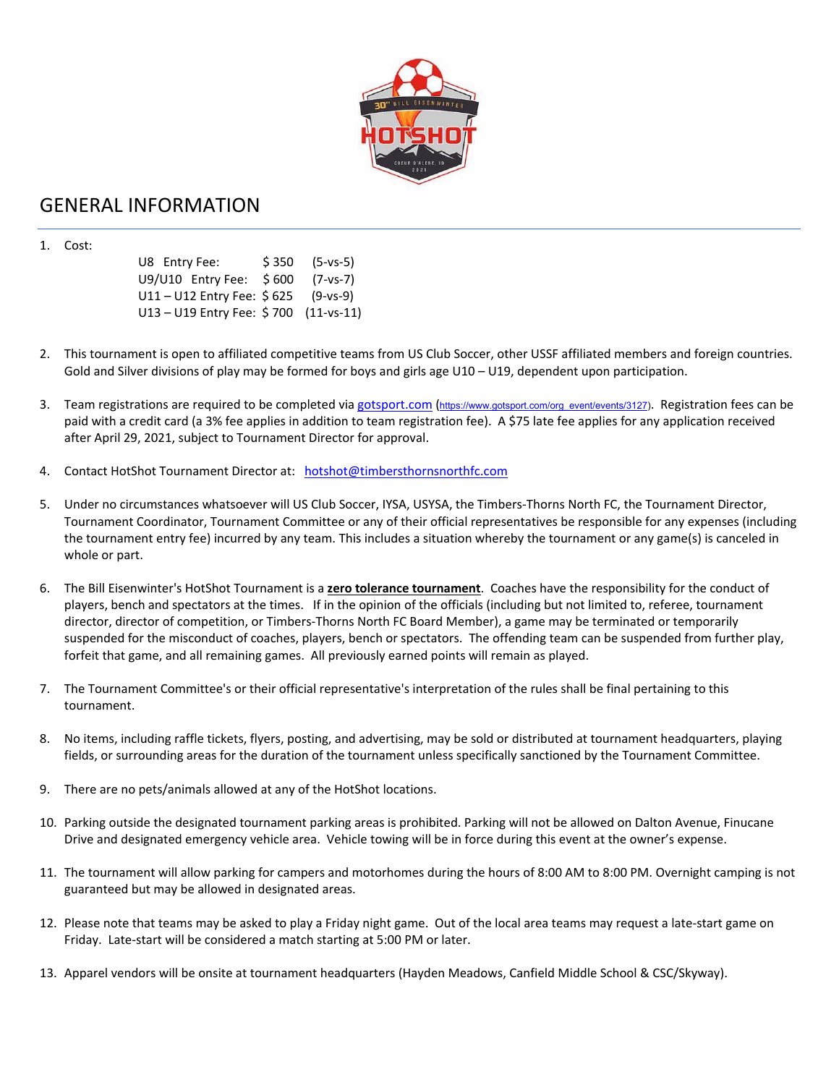

### GENERAL INFORMATION

1. Cost:

 U8 Entry Fee: \$ 350 (5‐vs‐5) U9/U10 Entry Fee: \$600 (7-vs-7) U11 – U12 Entry Fee: \$625 (9-vs-9) U13 – U19 Entry Fee: \$700 (11-vs-11)

- 2. This tournament is open to affiliated competitive teams from US Club Soccer, other USSF affiliated members and foreign countries. Gold and Silver divisions of play may be formed for boys and girls age U10 – U19, dependent upon participation.
- 3. Team registrations are required to be completed via gotsport.com (https://www.gotsport.com/org\_event/events/3127). Registration fees can be paid with a credit card (a 3% fee applies in addition to team registration fee). A \$75 late fee applies for any application received after April 29, 2021, subject to Tournament Director for approval.
- 4. Contact HotShot Tournament Director at: hotshot@timbersthornsnorthfc.com
- 5. Under no circumstances whatsoever will US Club Soccer, IYSA, USYSA, the Timbers‐Thorns North FC, the Tournament Director, Tournament Coordinator, Tournament Committee or any of their official representatives be responsible for any expenses (including the tournament entry fee) incurred by any team. This includes a situation whereby the tournament or any game(s) is canceled in whole or part.
- 6. The Bill Eisenwinter's HotShot Tournament is a **zero tolerance tournament**. Coaches have the responsibility for the conduct of players, bench and spectators at the times. If in the opinion of the officials (including but not limited to, referee, tournament director, director of competition, or Timbers‐Thorns North FC Board Member), a game may be terminated or temporarily suspended for the misconduct of coaches, players, bench or spectators. The offending team can be suspended from further play, forfeit that game, and all remaining games. All previously earned points will remain as played.
- 7. The Tournament Committee's or their official representative's interpretation of the rules shall be final pertaining to this tournament.
- 8. No items, including raffle tickets, flyers, posting, and advertising, may be sold or distributed at tournament headquarters, playing fields, or surrounding areas for the duration of the tournament unless specifically sanctioned by the Tournament Committee.
- 9. There are no pets/animals allowed at any of the HotShot locations.
- 10. Parking outside the designated tournament parking areas is prohibited. Parking will not be allowed on Dalton Avenue, Finucane Drive and designated emergency vehicle area. Vehicle towing will be in force during this event at the owner's expense.
- 11. The tournament will allow parking for campers and motorhomes during the hours of 8:00 AM to 8:00 PM. Overnight camping is not guaranteed but may be allowed in designated areas.
- 12. Please note that teams may be asked to play a Friday night game. Out of the local area teams may request a late-start game on Friday. Late-start will be considered a match starting at 5:00 PM or later.
- 13. Apparel vendors will be onsite at tournament headquarters (Hayden Meadows, Canfield Middle School & CSC/Skyway).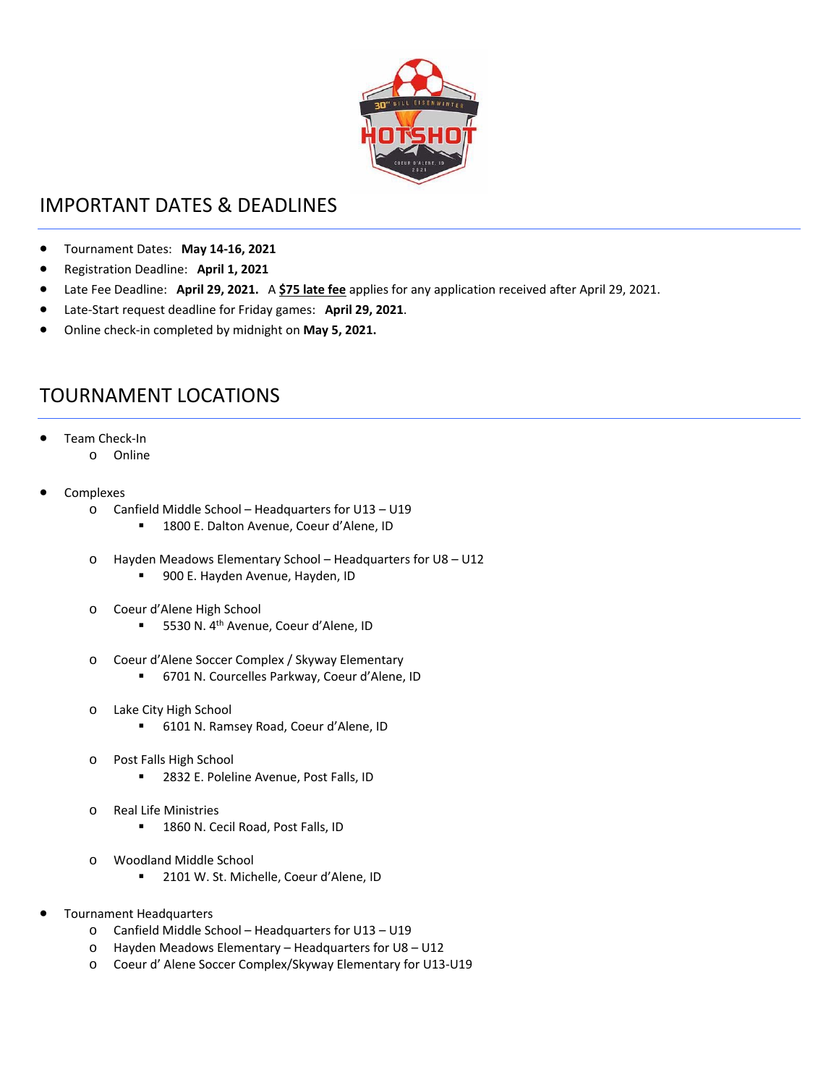

# IMPORTANT DATES & DEADLINES

- Tournament Dates: **May 14‐16, 2021**
- Registration Deadline: **April 1, 2021**
- Late Fee Deadline: **April 29, 2021.**  A **\$75 late fee** applies for any application received after April 29, 2021.
- Late‐Start request deadline for Friday games: **April 29, 2021**.
- Online check‐in completed by midnight on **May 5, 2021.**

## TOURNAMENT LOCATIONS

- Team Check‐In
	- o Online
- Complexes
	- o Canfield Middle School Headquarters for U13 U19
		- 1800 E. Dalton Avenue, Coeur d'Alene, ID
	- o Hayden Meadows Elementary School Headquarters for U8 U12
		- **900 E. Hayden Avenue, Hayden, ID**
	- o Coeur d'Alene High School
		- 5530 N. 4<sup>th</sup> Avenue, Coeur d'Alene, ID
	- o Coeur d'Alene Soccer Complex / Skyway Elementary
		- 6701 N. Courcelles Parkway, Coeur d'Alene, ID
	- o Lake City High School
		- 6101 N. Ramsey Road, Coeur d'Alene, ID
	- o Post Falls High School
		- 2832 E. Poleline Avenue, Post Falls, ID
	- o Real Life Ministries ■ 1860 N. Cecil Road, Post Falls, ID
	- o Woodland Middle School
		- 2101 W. St. Michelle, Coeur d'Alene, ID
- Tournament Headquarters
	- o Canfield Middle School Headquarters for U13 U19
	- o Hayden Meadows Elementary Headquarters for U8 U12
	- o Coeur d' Alene Soccer Complex/Skyway Elementary for U13‐U19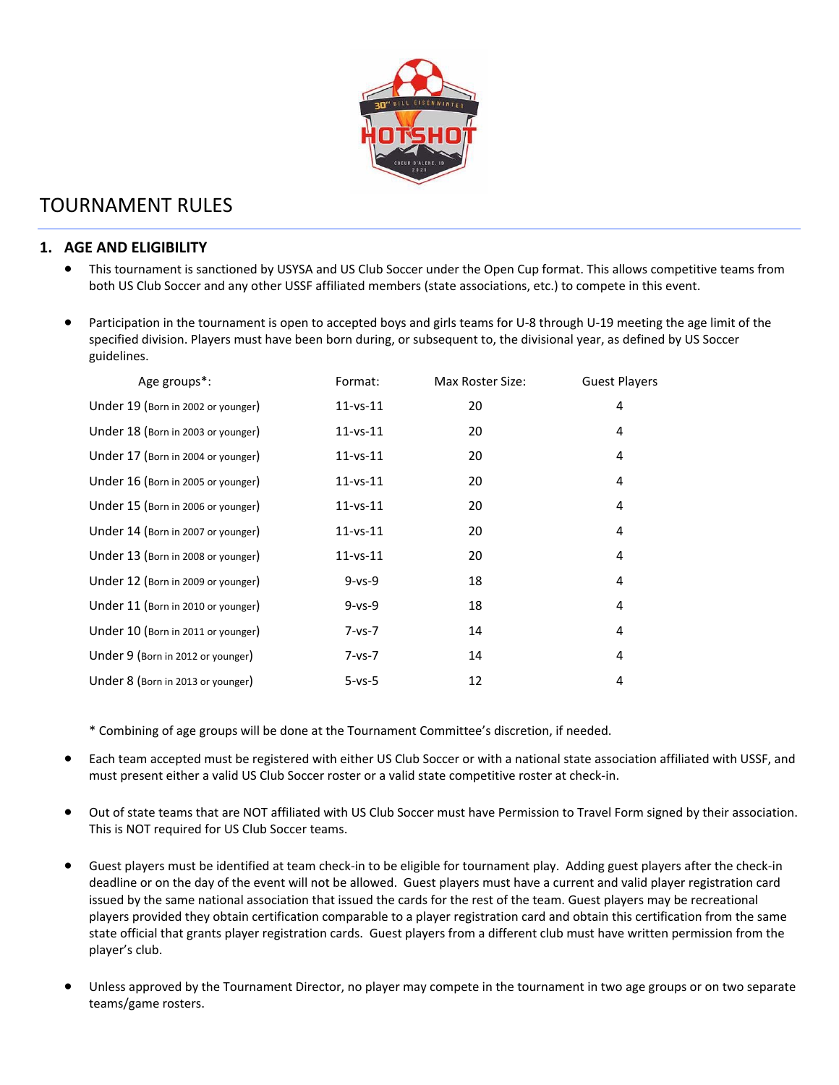

# TOURNAMENT RULES

#### **1. AGE AND ELIGIBILITY**

- This tournament is sanctioned by USYSA and US Club Soccer under the Open Cup format. This allows competitive teams from both US Club Soccer and any other USSF affiliated members (state associations, etc.) to compete in this event.
- Participation in the tournament is open to accepted boys and girls teams for U‐8 through U‐19 meeting the age limit of the specified division. Players must have been born during, or subsequent to, the divisional year, as defined by US Soccer guidelines.

| Age groups*:                       | Format:        | Max Roster Size: | <b>Guest Players</b> |  |
|------------------------------------|----------------|------------------|----------------------|--|
| Under 19 (Born in 2002 or younger) | $11 - vs - 11$ | 20               | 4                    |  |
| Under 18 (Born in 2003 or younger) | $11 - vs - 11$ | 20               | 4                    |  |
| Under 17 (Born in 2004 or younger) | $11 - vs - 11$ | 20               | 4                    |  |
| Under 16 (Born in 2005 or younger) | $11 - vs - 11$ | 20               | 4                    |  |
| Under 15 (Born in 2006 or younger) | $11 - vs - 11$ | 20               | 4                    |  |
| Under 14 (Born in 2007 or younger) | $11 - vs - 11$ | 20               | 4                    |  |
| Under 13 (Born in 2008 or younger) | $11 - vs - 11$ | 20               | 4                    |  |
| Under 12 (Born in 2009 or younger) | $9 - vs - 9$   | 18               | 4                    |  |
| Under 11 (Born in 2010 or younger) | $9 - vs - 9$   | 18               | 4                    |  |
| Under 10 (Born in 2011 or younger) | $7 - vs - 7$   | 14               | 4                    |  |
| Under 9 (Born in 2012 or younger)  | $7 - vs - 7$   | 14               | 4                    |  |
| Under 8 (Born in 2013 or younger)  | $5 - vs - 5$   | 12               | 4                    |  |

\* Combining of age groups will be done at the Tournament Committee's discretion, if needed.

- Each team accepted must be registered with either US Club Soccer or with a national state association affiliated with USSF, and must present either a valid US Club Soccer roster or a valid state competitive roster at check‐in.
- Out of state teams that are NOT affiliated with US Club Soccer must have Permission to Travel Form signed by their association. This is NOT required for US Club Soccer teams.
- Guest players must be identified at team check‐in to be eligible for tournament play. Adding guest players after the check‐in deadline or on the day of the event will not be allowed. Guest players must have a current and valid player registration card issued by the same national association that issued the cards for the rest of the team. Guest players may be recreational players provided they obtain certification comparable to a player registration card and obtain this certification from the same state official that grants player registration cards. Guest players from a different club must have written permission from the player's club.
- Unless approved by the Tournament Director, no player may compete in the tournament in two age groups or on two separate teams/game rosters.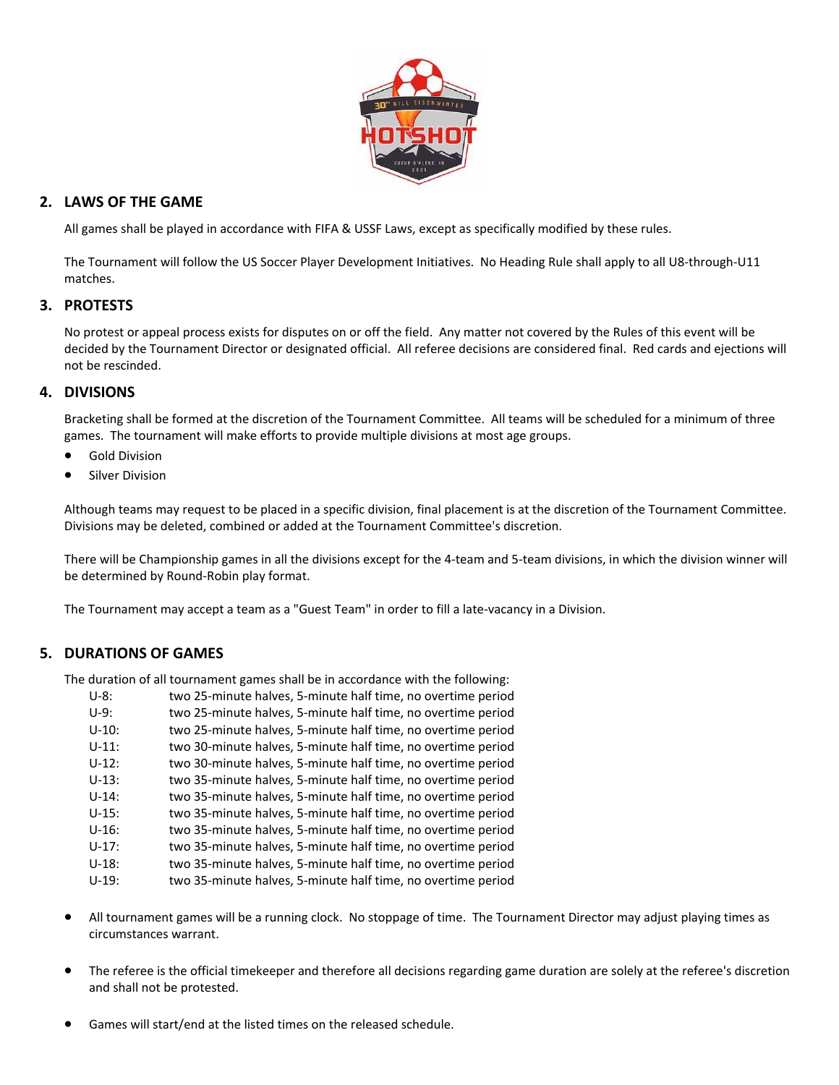

#### **2. LAWS OF THE GAME**

All games shall be played in accordance with FIFA & USSF Laws, except as specifically modified by these rules.

The Tournament will follow the US Soccer Player Development Initiatives. No Heading Rule shall apply to all U8‐through‐U11 matches.

#### **3. PROTESTS**

No protest or appeal process exists for disputes on or off the field. Any matter not covered by the Rules of this event will be decided by the Tournament Director or designated official. All referee decisions are considered final. Red cards and ejections will not be rescinded.

#### **4. DIVISIONS**

Bracketing shall be formed at the discretion of the Tournament Committee. All teams will be scheduled for a minimum of three games. The tournament will make efforts to provide multiple divisions at most age groups.

- Gold Division
- Silver Division

Although teams may request to be placed in a specific division, final placement is at the discretion of the Tournament Committee. Divisions may be deleted, combined or added at the Tournament Committee's discretion.

There will be Championship games in all the divisions except for the 4‐team and 5‐team divisions, in which the division winner will be determined by Round‐Robin play format.

The Tournament may accept a team as a "Guest Team" in order to fill a late-vacancy in a Division.

#### **5. DURATIONS OF GAMES**

The duration of all tournament games shall be in accordance with the following:

| $U-8:$  | two 25-minute halves, 5-minute half time, no overtime period |
|---------|--------------------------------------------------------------|
| $U-9:$  | two 25-minute halves, 5-minute half time, no overtime period |
| $U-10:$ | two 25-minute halves, 5-minute half time, no overtime period |
| $U-11:$ | two 30-minute halves, 5-minute half time, no overtime period |
| $U-12:$ | two 30-minute halves, 5-minute half time, no overtime period |
| $U-13:$ | two 35-minute halves, 5-minute half time, no overtime period |
| $U-14:$ | two 35-minute halves, 5-minute half time, no overtime period |
| $U-15:$ | two 35-minute halves, 5-minute half time, no overtime period |
| $U-16:$ | two 35-minute halves, 5-minute half time, no overtime period |
| $U-17:$ | two 35-minute halves, 5-minute half time, no overtime period |
| $U-18:$ | two 35-minute halves, 5-minute half time, no overtime period |
| $U-19:$ | two 35-minute halves, 5-minute half time, no overtime period |

- All tournament games will be a running clock. No stoppage of time. The Tournament Director may adjust playing times as circumstances warrant.
- The referee is the official timekeeper and therefore all decisions regarding game duration are solely at the referee's discretion and shall not be protested.
- Games will start/end at the listed times on the released schedule.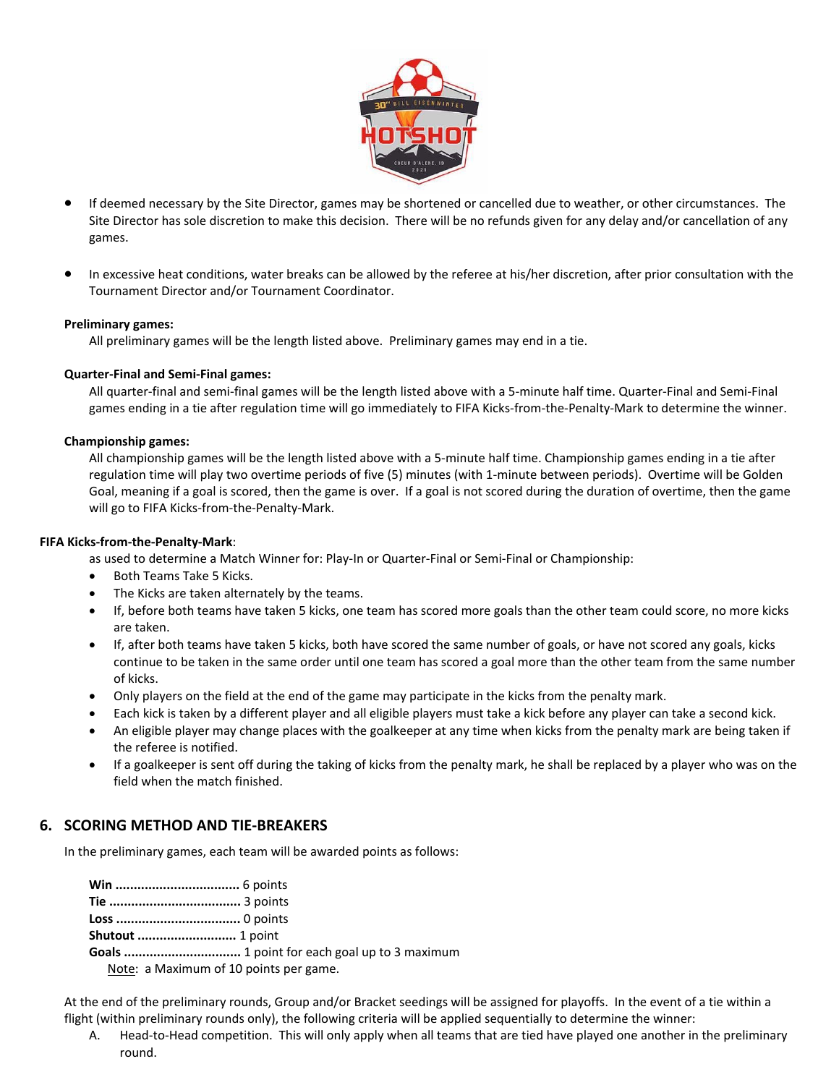

- If deemed necessary by the Site Director, games may be shortened or cancelled due to weather, or other circumstances. The Site Director has sole discretion to make this decision. There will be no refunds given for any delay and/or cancellation of any games.
- In excessive heat conditions, water breaks can be allowed by the referee at his/her discretion, after prior consultation with the Tournament Director and/or Tournament Coordinator.

#### **Preliminary games:**

All preliminary games will be the length listed above. Preliminary games may end in a tie.

#### **Quarter‐Final and Semi‐Final games:**

All quarter‐final and semi‐final games will be the length listed above with a 5‐minute half time. Quarter‐Final and Semi‐Final games ending in a tie after regulation time will go immediately to FIFA Kicks-from-the-Penalty-Mark to determine the winner.

#### **Championship games:**

All championship games will be the length listed above with a 5‐minute half time. Championship games ending in a tie after regulation time will play two overtime periods of five (5) minutes (with 1‐minute between periods). Overtime will be Golden Goal, meaning if a goal is scored, then the game is over. If a goal is not scored during the duration of overtime, then the game will go to FIFA Kicks-from-the-Penalty-Mark.

#### **FIFA Kicks‐from‐the‐Penalty‐Mark**:

as used to determine a Match Winner for: Play-In or Quarter-Final or Semi-Final or Championship:

- Both Teams Take 5 Kicks.
- The Kicks are taken alternately by the teams.
- If, before both teams have taken 5 kicks, one team has scored more goals than the other team could score, no more kicks are taken.
- If, after both teams have taken 5 kicks, both have scored the same number of goals, or have not scored any goals, kicks continue to be taken in the same order until one team has scored a goal more than the other team from the same number of kicks.
- Only players on the field at the end of the game may participate in the kicks from the penalty mark.
- Each kick is taken by a different player and all eligible players must take a kick before any player can take a second kick.
- An eligible player may change places with the goalkeeper at any time when kicks from the penalty mark are being taken if the referee is notified.
- If a goalkeeper is sent off during the taking of kicks from the penalty mark, he shall be replaced by a player who was on the field when the match finished.

#### **6. SCORING METHOD AND TIE‐BREAKERS**

In the preliminary games, each team will be awarded points as follows:

**Shutout ...........................** 1 point

**Goals ................................** 1 point for each goal up to 3 maximum

Note: a Maximum of 10 points per game.

At the end of the preliminary rounds, Group and/or Bracket seedings will be assigned for playoffs. In the event of a tie within a flight (within preliminary rounds only), the following criteria will be applied sequentially to determine the winner:

A. Head-to-Head competition. This will only apply when all teams that are tied have played one another in the preliminary round.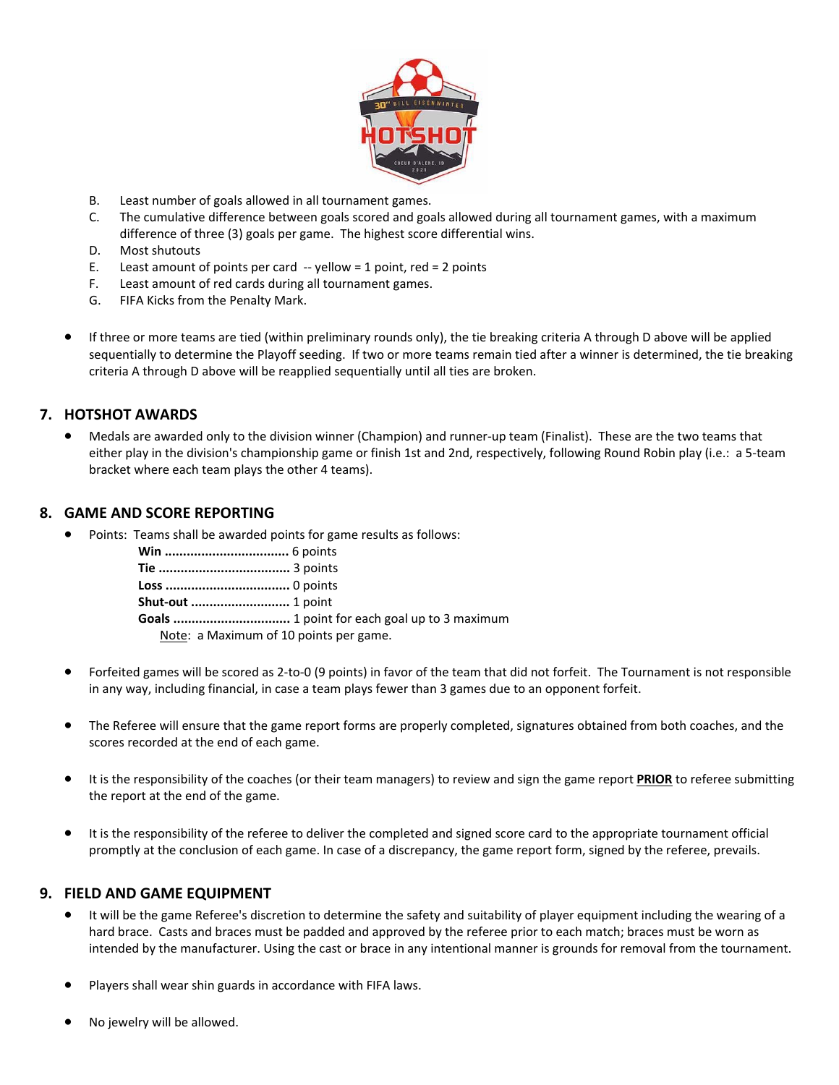

- B. Least number of goals allowed in all tournament games.
- C. The cumulative difference between goals scored and goals allowed during all tournament games, with a maximum difference of three (3) goals per game. The highest score differential wins.
- D. Most shutouts
- E. Least amount of points per card  $-$  yellow = 1 point, red = 2 points
- F. Least amount of red cards during all tournament games.
- G. FIFA Kicks from the Penalty Mark.
- If three or more teams are tied (within preliminary rounds only), the tie breaking criteria A through D above will be applied sequentially to determine the Playoff seeding. If two or more teams remain tied after a winner is determined, the tie breaking criteria A through D above will be reapplied sequentially until all ties are broken.

#### **7. HOTSHOT AWARDS**

 Medals are awarded only to the division winner (Champion) and runner‐up team (Finalist). These are the two teams that either play in the division's championship game or finish 1st and 2nd, respectively, following Round Robin play (i.e.: a 5‐team bracket where each team plays the other 4 teams).

#### **8. GAME AND SCORE REPORTING**

Points: Teams shall be awarded points for game results as follows:

| Note: a Maximum of 10 points per game. |
|----------------------------------------|

- Forfeited games will be scored as 2‐to‐0 (9 points) in favor of the team that did not forfeit. The Tournament is not responsible in any way, including financial, in case a team plays fewer than 3 games due to an opponent forfeit.
- The Referee will ensure that the game report forms are properly completed, signatures obtained from both coaches, and the scores recorded at the end of each game.
- It is the responsibility of the coaches (or their team managers) to review and sign the game report **PRIOR** to referee submitting the report at the end of the game.
- It is the responsibility of the referee to deliver the completed and signed score card to the appropriate tournament official promptly at the conclusion of each game. In case of a discrepancy, the game report form, signed by the referee, prevails.

#### **9. FIELD AND GAME EQUIPMENT**

- It will be the game Referee's discretion to determine the safety and suitability of player equipment including the wearing of a hard brace. Casts and braces must be padded and approved by the referee prior to each match; braces must be worn as intended by the manufacturer. Using the cast or brace in any intentional manner is grounds for removal from the tournament.
- Players shall wear shin guards in accordance with FIFA laws.
- No jewelry will be allowed.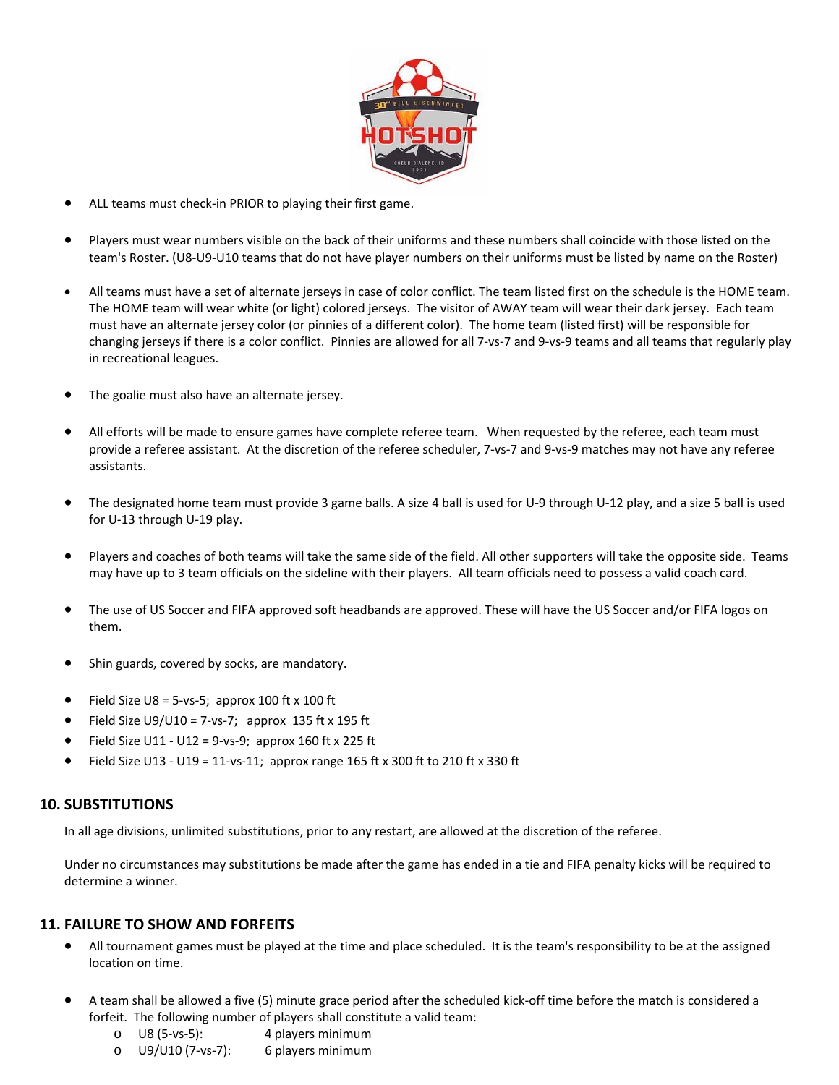

- ALL teams must check‐in PRIOR to playing their first game.
- Players must wear numbers visible on the back of their uniforms and these numbers shall coincide with those listed on the team's Roster. (U8‐U9‐U10 teams that do not have player numbers on their uniforms must be listed by name on the Roster)
- All teams must have a set of alternate jerseys in case of color conflict. The team listed first on the schedule is the HOME team. The HOME team will wear white (or light) colored jerseys. The visitor of AWAY team will wear their dark jersey. Each team must have an alternate jersey color (or pinnies of a different color). The home team (listed first) will be responsible for changing jerseys if there is a color conflict. Pinnies are allowed for all 7‐vs‐7 and 9‐vs‐9 teams and all teams that regularly play in recreational leagues.
- The goalie must also have an alternate jersey.
- All efforts will be made to ensure games have complete referee team. When requested by the referee, each team must provide a referee assistant. At the discretion of the referee scheduler, 7‐vs‐7 and 9‐vs‐9 matches may not have any referee assistants.
- The designated home team must provide 3 game balls. A size 4 ball is used for U‐9 through U‐12 play, and a size 5 ball is used for U‐13 through U‐19 play.
- Players and coaches of both teams will take the same side of the field. All other supporters will take the opposite side. Teams may have up to 3 team officials on the sideline with their players. All team officials need to possess a valid coach card.
- The use of US Soccer and FIFA approved soft headbands are approved. These will have the US Soccer and/or FIFA logos on them.
- Shin guards, covered by socks, are mandatory.
- $\bullet$  Field Size U8 = 5-vs-5; approx 100 ft x 100 ft
- $\bullet$  Field Size U9/U10 = 7-vs-7; approx 135 ft x 195 ft
- Field Size U11 ‐ U12 = 9‐vs‐9; approx 160 ft x 225 ft
- Field Size U13 ‐ U19 = 11‐vs‐11; approx range 165 ft x 300 ft to 210 ft x 330 ft

#### **10. SUBSTITUTIONS**

In all age divisions, unlimited substitutions, prior to any restart, are allowed at the discretion of the referee.

Under no circumstances may substitutions be made after the game has ended in a tie and FIFA penalty kicks will be required to determine a winner.

#### **11. FAILURE TO SHOW AND FORFEITS**

- All tournament games must be played at the time and place scheduled. It is the team's responsibility to be at the assigned location on time.
- A team shall be allowed a five (5) minute grace period after the scheduled kick‐off time before the match is considered a forfeit. The following number of players shall constitute a valid team:
	- o U8 (5‐vs‐5): 4 players minimum
	- o U9/U10 (7‐vs‐7): 6 players minimum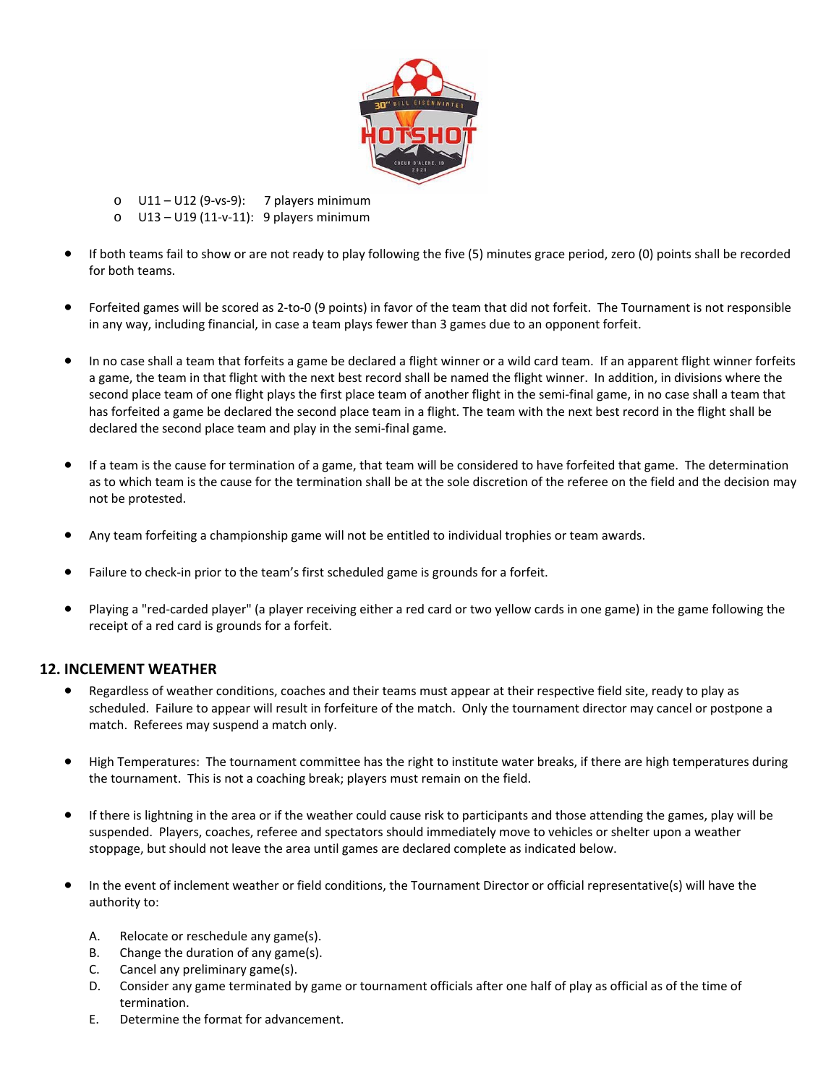

o U11 – U12 (9‐vs‐9): 7 players minimum

o U13 – U19 (11‐v‐11): 9 players minimum

- If both teams fail to show or are not ready to play following the five (5) minutes grace period, zero (0) points shall be recorded for both teams.
- Forfeited games will be scored as 2‐to‐0 (9 points) in favor of the team that did not forfeit. The Tournament is not responsible in any way, including financial, in case a team plays fewer than 3 games due to an opponent forfeit.
- In no case shall a team that forfeits a game be declared a flight winner or a wild card team. If an apparent flight winner forfeits a game, the team in that flight with the next best record shall be named the flight winner. In addition, in divisions where the second place team of one flight plays the first place team of another flight in the semi-final game, in no case shall a team that has forfeited a game be declared the second place team in a flight. The team with the next best record in the flight shall be declared the second place team and play in the semi-final game.
- If a team is the cause for termination of a game, that team will be considered to have forfeited that game. The determination as to which team is the cause for the termination shall be at the sole discretion of the referee on the field and the decision may not be protested.
- Any team forfeiting a championship game will not be entitled to individual trophies or team awards.
- Failure to check-in prior to the team's first scheduled game is grounds for a forfeit.
- Playing a "red-carded player" (a player receiving either a red card or two yellow cards in one game) in the game following the receipt of a red card is grounds for a forfeit.

#### **12. INCLEMENT WEATHER**

- Regardless of weather conditions, coaches and their teams must appear at their respective field site, ready to play as scheduled. Failure to appear will result in forfeiture of the match. Only the tournament director may cancel or postpone a match. Referees may suspend a match only.
- High Temperatures: The tournament committee has the right to institute water breaks, if there are high temperatures during the tournament. This is not a coaching break; players must remain on the field.
- If there is lightning in the area or if the weather could cause risk to participants and those attending the games, play will be suspended. Players, coaches, referee and spectators should immediately move to vehicles or shelter upon a weather stoppage, but should not leave the area until games are declared complete as indicated below.
- In the event of inclement weather or field conditions, the Tournament Director or official representative(s) will have the authority to:
	- A. Relocate or reschedule any game(s).
	- B. Change the duration of any game(s).
	- C. Cancel any preliminary game(s).
	- D. Consider any game terminated by game or tournament officials after one half of play as official as of the time of termination.
	- E. Determine the format for advancement.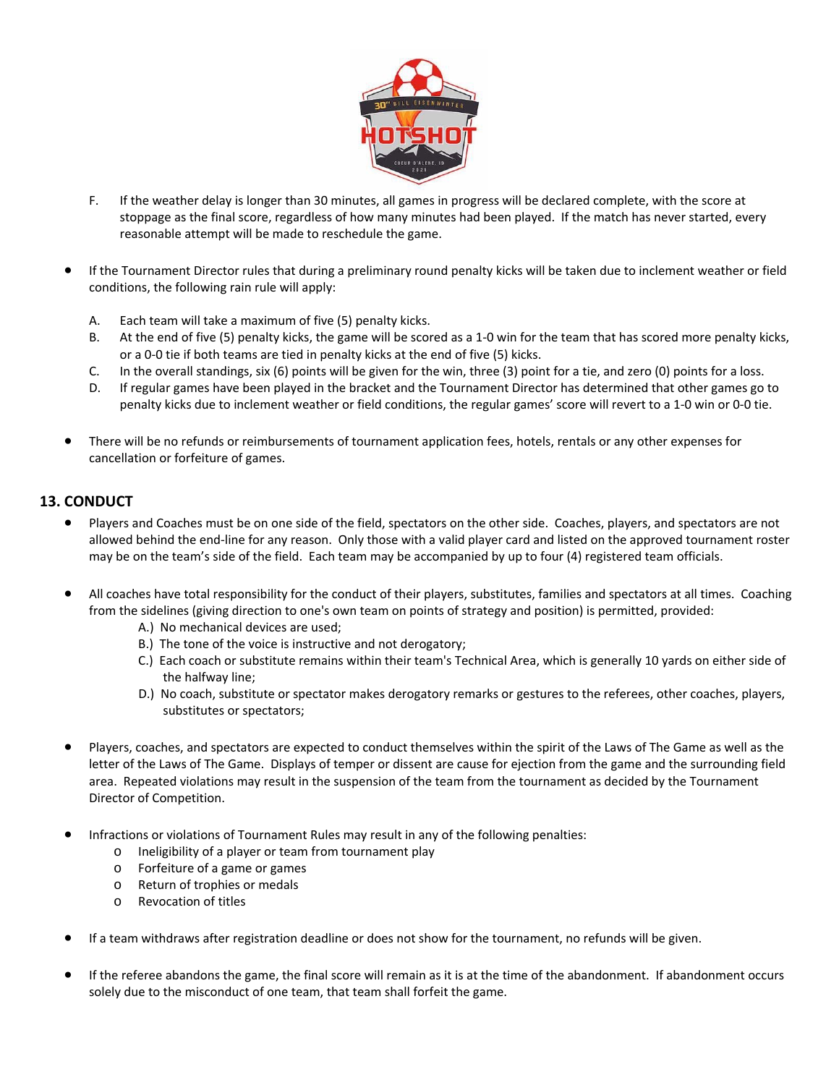

- F. If the weather delay is longer than 30 minutes, all games in progress will be declared complete, with the score at stoppage as the final score, regardless of how many minutes had been played. If the match has never started, every reasonable attempt will be made to reschedule the game.
- If the Tournament Director rules that during a preliminary round penalty kicks will be taken due to inclement weather or field conditions, the following rain rule will apply:
	- A. Each team will take a maximum of five (5) penalty kicks.
	- B. At the end of five (5) penalty kicks, the game will be scored as a 1‐0 win for the team that has scored more penalty kicks, or a 0‐0 tie if both teams are tied in penalty kicks at the end of five (5) kicks.
	- C. In the overall standings, six (6) points will be given for the win, three (3) point for a tie, and zero (0) points for a loss.
	- D. If regular games have been played in the bracket and the Tournament Director has determined that other games go to penalty kicks due to inclement weather or field conditions, the regular games' score will revert to a 1‐0 win or 0‐0 tie.
- There will be no refunds or reimbursements of tournament application fees, hotels, rentals or any other expenses for cancellation or forfeiture of games.

#### **13. CONDUCT**

- Players and Coaches must be on one side of the field, spectators on the other side. Coaches, players, and spectators are not allowed behind the end‐line for any reason. Only those with a valid player card and listed on the approved tournament roster may be on the team's side of the field. Each team may be accompanied by up to four (4) registered team officials.
- All coaches have total responsibility for the conduct of their players, substitutes, families and spectators at all times. Coaching from the sidelines (giving direction to one's own team on points of strategy and position) is permitted, provided:
	- A.) No mechanical devices are used;
	- B.) The tone of the voice is instructive and not derogatory;
	- C.) Each coach or substitute remains within their team's Technical Area, which is generally 10 yards on either side of the halfway line;
	- D.) No coach, substitute or spectator makes derogatory remarks or gestures to the referees, other coaches, players, substitutes or spectators;
- Players, coaches, and spectators are expected to conduct themselves within the spirit of the Laws of The Game as well as the letter of the Laws of The Game. Displays of temper or dissent are cause for ejection from the game and the surrounding field area. Repeated violations may result in the suspension of the team from the tournament as decided by the Tournament Director of Competition.
- Infractions or violations of Tournament Rules may result in any of the following penalties:
	- o Ineligibility of a player or team from tournament play
	- o Forfeiture of a game or games
	- o Return of trophies or medals
	- o Revocation of titles
- If a team withdraws after registration deadline or does not show for the tournament, no refunds will be given.
- If the referee abandons the game, the final score will remain as it is at the time of the abandonment. If abandonment occurs solely due to the misconduct of one team, that team shall forfeit the game.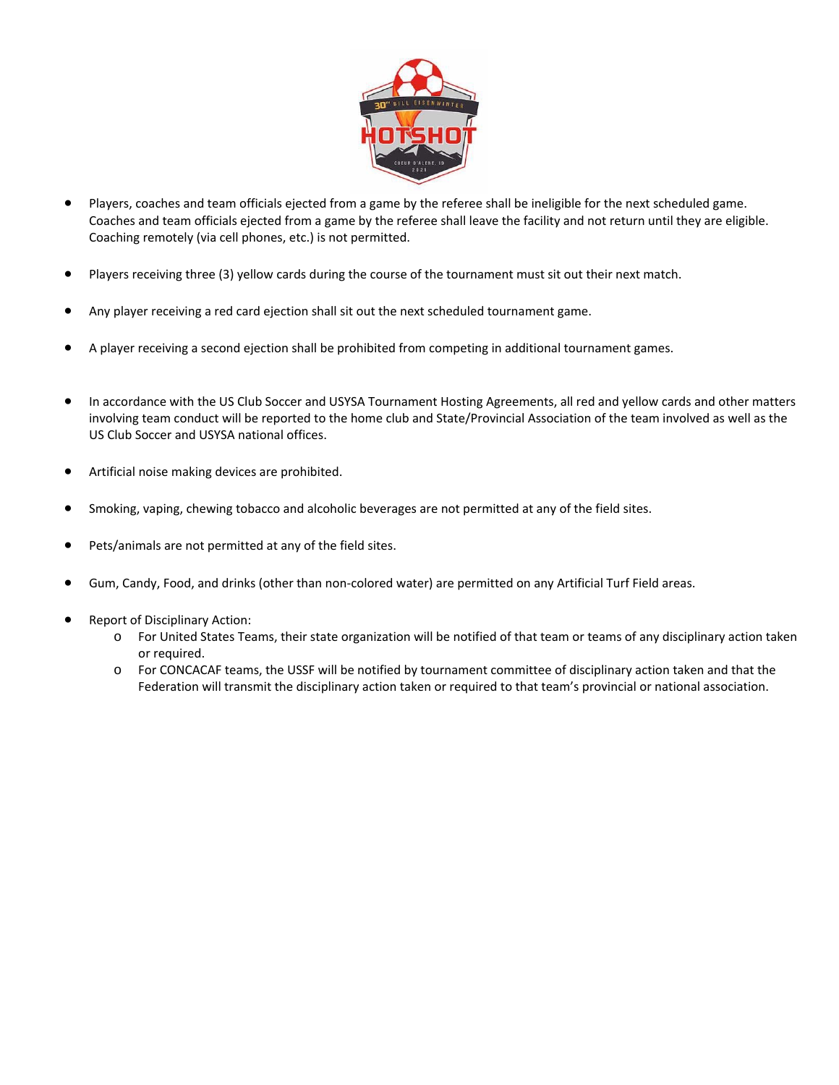

- Players, coaches and team officials ejected from a game by the referee shall be ineligible for the next scheduled game. Coaches and team officials ejected from a game by the referee shall leave the facility and not return until they are eligible. Coaching remotely (via cell phones, etc.) is not permitted.
- Players receiving three (3) yellow cards during the course of the tournament must sit out their next match.
- Any player receiving a red card ejection shall sit out the next scheduled tournament game.
- A player receiving a second ejection shall be prohibited from competing in additional tournament games.
- In accordance with the US Club Soccer and USYSA Tournament Hosting Agreements, all red and yellow cards and other matters involving team conduct will be reported to the home club and State/Provincial Association of the team involved as well as the US Club Soccer and USYSA national offices.
- Artificial noise making devices are prohibited.
- Smoking, vaping, chewing tobacco and alcoholic beverages are not permitted at any of the field sites.
- Pets/animals are not permitted at any of the field sites.
- Gum, Candy, Food, and drinks (other than non‐colored water) are permitted on any Artificial Turf Field areas.
- Report of Disciplinary Action:
	- o For United States Teams, their state organization will be notified of that team or teams of any disciplinary action taken or required.
	- o For CONCACAF teams, the USSF will be notified by tournament committee of disciplinary action taken and that the Federation will transmit the disciplinary action taken or required to that team's provincial or national association.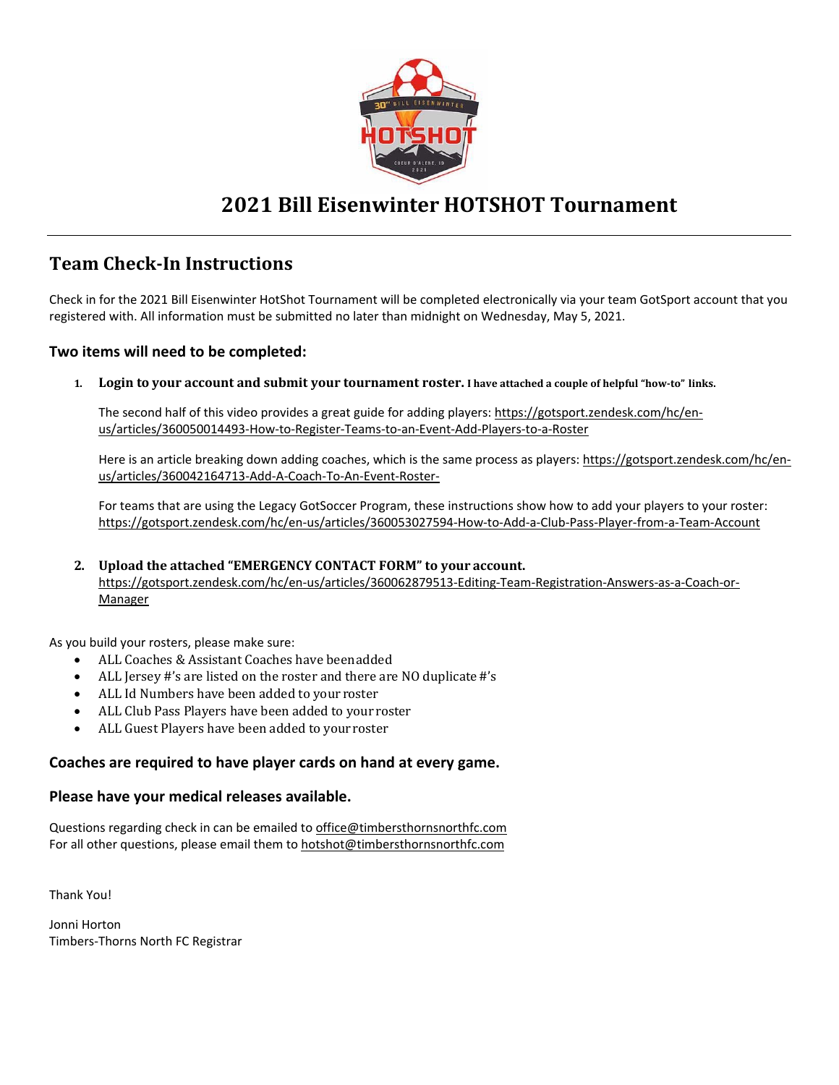

# **2021 Bill Eisenwinter HOTSHOT Tournament**

### **Team Check‐In Instructions**

Check in for the 2021 Bill Eisenwinter HotShot Tournament will be completed electronically via your team GotSport account that you registered with. All information must be submitted no later than midnight on Wednesday, May 5, 2021.

#### **Two items will need to be completed:**

1. Login to your account and submit your tournament roster. I have attached a couple of helpful "how-to" links.

The second half of this video provides a great guide for adding players: https://gotsport.zendesk.com/hc/enus/articles/360050014493-How-to-Register-Teams-to-an-Event-Add-Players-to-a-Roster

Here is an article breaking down adding coaches, which is the same process as players: https://gotsport.zendesk.com/hc/enus/articles/360042164713‐Add‐A‐Coach‐To‐An‐Event‐Roster‐

For teams that are using the Legacy GotSoccer Program, these instructions show how to add your players to your roster: https://gotsport.zendesk.com/hc/en‐us/articles/360053027594‐How‐to‐Add‐a‐Club‐Pass‐Player‐from‐a‐Team‐Account

#### **2. Upload the attached "EMERGENCY CONTACT FORM" to your account.**

https://gotsport.zendesk.com/hc/en‐us/articles/360062879513‐Editing‐Team‐Registration‐Answers‐as‐a‐Coach‐or‐ Manager

As you build your rosters, please make sure:

- ALL Coaches & Assistant Coaches have been added
- ALL Jersey #'s are listed on the roster and there are NO duplicate #'s
- ALL Id Numbers have been added to your roster
- ALL Club Pass Players have been added to your roster
- ALL Guest Players have been added to your roster

#### **Coaches are required to have player cards on hand at every game.**

#### **Please have your medical releases available.**

Questions regarding check in can be emailed to office@timbersthornsnorthfc.com For all other questions, please email them to hotshot@timbersthornsnorthfc.com

Thank You!

Jonni Horton Timbers‐Thorns North FC Registrar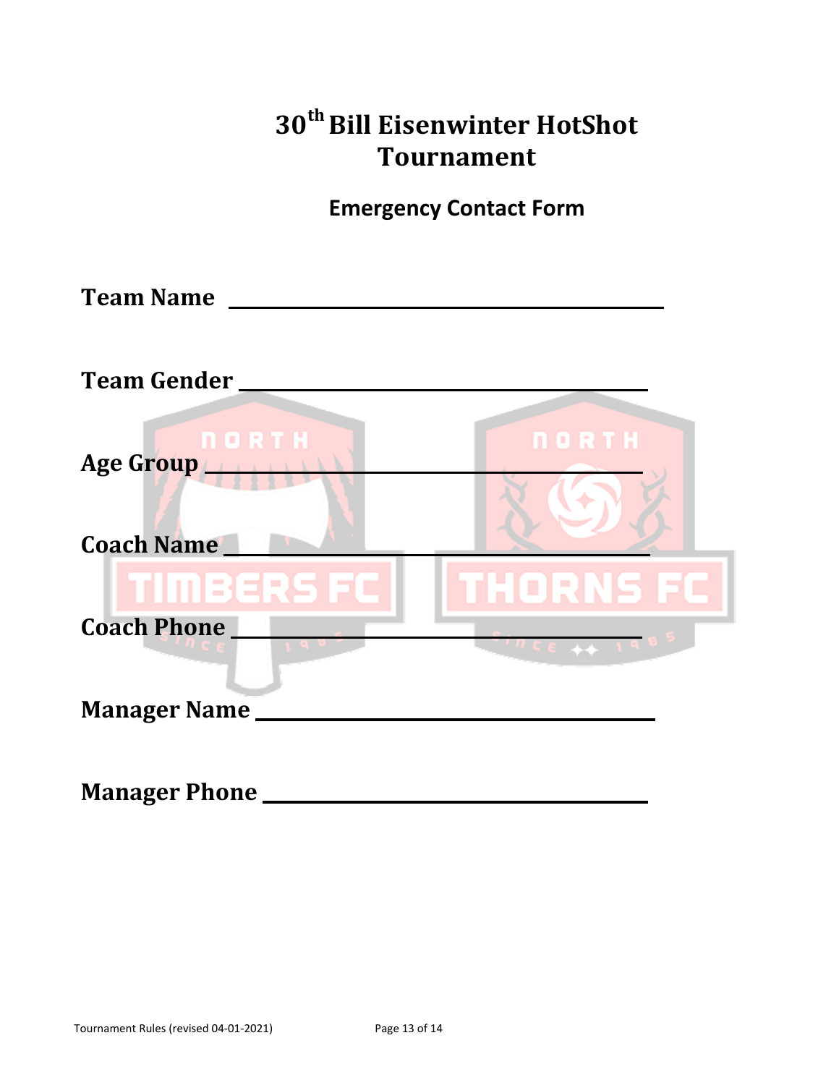|                                | 30 <sup>th</sup> Bill Eisenwinter HotShot<br><b>Tournament</b> |
|--------------------------------|----------------------------------------------------------------|
|                                | <b>Emergency Contact Form</b>                                  |
|                                |                                                                |
| <b>Team Gender</b>             |                                                                |
| Age Group<br><b>Coach Name</b> | <b>NORTH</b>                                                   |
| <b>TIMBERS FC</b>              | THORNS FC                                                      |
| <b>Coach Phone</b>             |                                                                |
| <b>Manager Name</b>            |                                                                |
| <b>Manager Phone</b> ________  |                                                                |